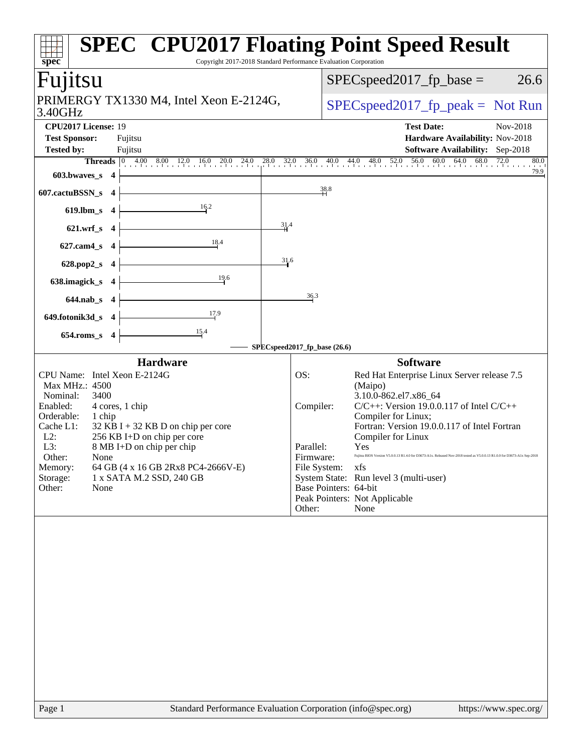| spec <sup>®</sup><br>Fujitsu                                                                                                                                                                                                                                                                                                                                                             | Copyright 2017-2018 Standard Performance Evaluation Corporation<br>$SPEC speed2017_fp\_base =$<br>26.6                                                                                                                                                                                                                                                                                                                                                                                                                                                      |
|------------------------------------------------------------------------------------------------------------------------------------------------------------------------------------------------------------------------------------------------------------------------------------------------------------------------------------------------------------------------------------------|-------------------------------------------------------------------------------------------------------------------------------------------------------------------------------------------------------------------------------------------------------------------------------------------------------------------------------------------------------------------------------------------------------------------------------------------------------------------------------------------------------------------------------------------------------------|
|                                                                                                                                                                                                                                                                                                                                                                                          |                                                                                                                                                                                                                                                                                                                                                                                                                                                                                                                                                             |
| PRIMERGY TX1330 M4, Intel Xeon E-2124G,<br>3.40GHz                                                                                                                                                                                                                                                                                                                                       | $SPEC speed2017fr peak = Not Run$                                                                                                                                                                                                                                                                                                                                                                                                                                                                                                                           |
| CPU2017 License: 19<br><b>Test Sponsor:</b><br>Fujitsu                                                                                                                                                                                                                                                                                                                                   | <b>Test Date:</b><br>Nov-2018<br>Hardware Availability: Nov-2018                                                                                                                                                                                                                                                                                                                                                                                                                                                                                            |
| <b>Tested by:</b><br>Fujitsu                                                                                                                                                                                                                                                                                                                                                             | <b>Software Availability:</b> Sep-2018<br>80.0                                                                                                                                                                                                                                                                                                                                                                                                                                                                                                              |
| <b>Threads</b> $\vert 0 \rangle$<br>$603.bwaves_s$ 4                                                                                                                                                                                                                                                                                                                                     | $4.00$ $8.00$ $12.0$ $16.0$ $20.0$ $24.0$ $28.0$ $32.0$ $36.0$ $40.0$ $44.0$ $48.0$ $52.0$ $56.0$ $60.0$ $64.0$ $68.0$ $72.0$<br>79.9                                                                                                                                                                                                                                                                                                                                                                                                                       |
| 607.cactuBSSN_s<br>$\overline{\mathbf{4}}$                                                                                                                                                                                                                                                                                                                                               | 38.8                                                                                                                                                                                                                                                                                                                                                                                                                                                                                                                                                        |
| 16.2<br>619.lbm_s<br>$\overline{\mathbf{4}}$                                                                                                                                                                                                                                                                                                                                             |                                                                                                                                                                                                                                                                                                                                                                                                                                                                                                                                                             |
| 31.4<br>$621.wrf$ <sub>S</sub><br>$\overline{\mathbf{4}}$                                                                                                                                                                                                                                                                                                                                |                                                                                                                                                                                                                                                                                                                                                                                                                                                                                                                                                             |
| 18.4<br>627.cam4_s<br>$\overline{\mathbf{4}}$                                                                                                                                                                                                                                                                                                                                            |                                                                                                                                                                                                                                                                                                                                                                                                                                                                                                                                                             |
| 31.6<br>628.pop2_s<br>$\overline{\mathbf{4}}$                                                                                                                                                                                                                                                                                                                                            |                                                                                                                                                                                                                                                                                                                                                                                                                                                                                                                                                             |
| 19.6<br>638.imagick_s<br>$\overline{4}$                                                                                                                                                                                                                                                                                                                                                  |                                                                                                                                                                                                                                                                                                                                                                                                                                                                                                                                                             |
| 644.nab_s 4                                                                                                                                                                                                                                                                                                                                                                              | 36.3                                                                                                                                                                                                                                                                                                                                                                                                                                                                                                                                                        |
| 17.9<br>649.fotonik3d_s 4                                                                                                                                                                                                                                                                                                                                                                |                                                                                                                                                                                                                                                                                                                                                                                                                                                                                                                                                             |
| 15.4<br>654.roms_s 4                                                                                                                                                                                                                                                                                                                                                                     |                                                                                                                                                                                                                                                                                                                                                                                                                                                                                                                                                             |
| <b>Hardware</b>                                                                                                                                                                                                                                                                                                                                                                          | SPECspeed2017_fp_base (26.6)<br><b>Software</b>                                                                                                                                                                                                                                                                                                                                                                                                                                                                                                             |
| CPU Name: Intel Xeon E-2124G<br>Max MHz.: 4500<br>Nominal:<br>3400<br>Enabled:<br>4 cores, 1 chip<br>Orderable:<br>1 chip<br>Cache L1:<br>$32$ KB I + 32 KB D on chip per core<br>$L2$ :<br>256 KB I+D on chip per core<br>L3:<br>8 MB I+D on chip per chip<br>Other:<br>None<br>64 GB (4 x 16 GB 2Rx8 PC4-2666V-E)<br>Memory:<br>Storage:<br>1 x SATA M.2 SSD, 240 GB<br>Other:<br>None | OS:<br>Red Hat Enterprise Linux Server release 7.5<br>(Maipo)<br>3.10.0-862.el7.x86_64<br>$C/C++$ : Version 19.0.0.117 of Intel $C/C++$<br>Compiler:<br>Compiler for Linux;<br>Fortran: Version 19.0.0.117 of Intel Fortran<br>Compiler for Linux<br>Parallel:<br>Yes<br>Firmware:<br>Fujitsu BIOS Version V5.0.0.13 R1.4.0 for D3673-A1x. Released Nov-2018 tested as V5.0.0.13 R1.0.0 for D3673-A1x Sep-2018<br>File System:<br>xfs<br>System State: Run level 3 (multi-user)<br>Base Pointers: 64-bit<br>Peak Pointers: Not Applicable<br>Other:<br>None |
|                                                                                                                                                                                                                                                                                                                                                                                          |                                                                                                                                                                                                                                                                                                                                                                                                                                                                                                                                                             |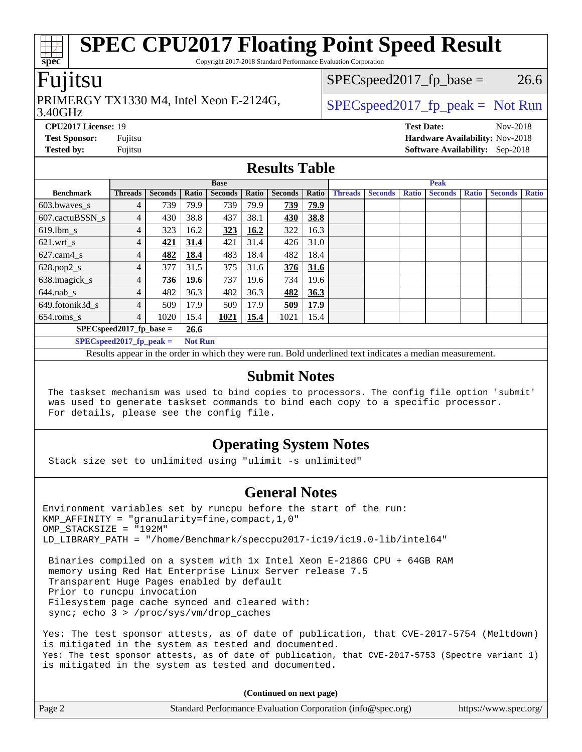Copyright 2017-2018 Standard Performance Evaluation Corporation

### Fujitsu

# PRIMERGY TX1330 M4, Intel Xeon E-2124G,  $\big|$  [SPECspeed2017\\_fp\\_peak =](http://www.spec.org/auto/cpu2017/Docs/result-fields.html#SPECspeed2017fppeak) Not Run

 $SPEC speed2017<sub>fp</sub> base = 26.6$ 

#### 3.40GHz

**[spec](http://www.spec.org/)**

**[CPU2017 License:](http://www.spec.org/auto/cpu2017/Docs/result-fields.html#CPU2017License)** 19 **[Test Date:](http://www.spec.org/auto/cpu2017/Docs/result-fields.html#TestDate)** Nov-2018 **[Test Sponsor:](http://www.spec.org/auto/cpu2017/Docs/result-fields.html#TestSponsor)** Fujitsu **[Hardware Availability:](http://www.spec.org/auto/cpu2017/Docs/result-fields.html#HardwareAvailability)** Nov-2018 **[Tested by:](http://www.spec.org/auto/cpu2017/Docs/result-fields.html#Testedby)** Fujitsu **[Software Availability:](http://www.spec.org/auto/cpu2017/Docs/result-fields.html#SoftwareAvailability)** Sep-2018

#### **[Results Table](http://www.spec.org/auto/cpu2017/Docs/result-fields.html#ResultsTable)**

|                          |                            |                |                | <b>Base</b>    |       |                |             |                |                |              | <b>Peak</b>    |              |                |              |
|--------------------------|----------------------------|----------------|----------------|----------------|-------|----------------|-------------|----------------|----------------|--------------|----------------|--------------|----------------|--------------|
| <b>Benchmark</b>         | <b>Threads</b>             | <b>Seconds</b> | Ratio          | <b>Seconds</b> | Ratio | <b>Seconds</b> | Ratio       | <b>Threads</b> | <b>Seconds</b> | <b>Ratio</b> | <b>Seconds</b> | <b>Ratio</b> | <b>Seconds</b> | <b>Ratio</b> |
| 603.bwayes_s             | 4                          | 739            | 79.9           | 739            | 79.9  | 739            | <u>79.9</u> |                |                |              |                |              |                |              |
| 607.cactuBSSN s          | $\overline{4}$             | 430            | 38.8           | 437            | 38.1  | 430            | 38.8        |                |                |              |                |              |                |              |
| $619.$ lbm_s             | 4                          | 323            | 16.2           | 323            | 16.2  | 322            | 16.3        |                |                |              |                |              |                |              |
| $621.wrf$ s              | $\overline{4}$             | 421            | 31.4           | 421            | 31.4  | 426            | 31.0        |                |                |              |                |              |                |              |
| $627$ .cam $4 \text{ s}$ | $\overline{4}$             | 482            | 18.4           | 483            | 18.4  | 482            | 18.4        |                |                |              |                |              |                |              |
| $628.pop2_s$             | 4                          | 377            | 31.5           | 375            | 31.6  | 376            | 31.6        |                |                |              |                |              |                |              |
| 638.imagick_s            | 4                          | 736            | 19.6           | 737            | 19.6  | 734            | 19.6        |                |                |              |                |              |                |              |
| $644$ .nab s             | $\overline{4}$             | 482            | 36.3           | 482            | 36.3  | 482            | 36.3        |                |                |              |                |              |                |              |
| 649.fotonik3d s          | 4                          | 509            | 17.9           | 509            | 17.9  | 509            | 17.9        |                |                |              |                |              |                |              |
| $654$ .roms s            | $\overline{4}$             | 1020           | 15.4           | 1021           | 15.4  | 1021           | 15.4        |                |                |              |                |              |                |              |
|                          | $SPEC speed2017$ fp base = |                | 26.6           |                |       |                |             |                |                |              |                |              |                |              |
|                          | $SPECspeed2017$ fp peak =  |                | <b>Not Run</b> |                |       |                |             |                |                |              |                |              |                |              |

Results appear in the [order in which they were run.](http://www.spec.org/auto/cpu2017/Docs/result-fields.html#RunOrder) Bold underlined text [indicates a median measurement.](http://www.spec.org/auto/cpu2017/Docs/result-fields.html#Median)

#### **[Submit Notes](http://www.spec.org/auto/cpu2017/Docs/result-fields.html#SubmitNotes)**

 The taskset mechanism was used to bind copies to processors. The config file option 'submit' was used to generate taskset commands to bind each copy to a specific processor. For details, please see the config file.

### **[Operating System Notes](http://www.spec.org/auto/cpu2017/Docs/result-fields.html#OperatingSystemNotes)**

Stack size set to unlimited using "ulimit -s unlimited"

### **[General Notes](http://www.spec.org/auto/cpu2017/Docs/result-fields.html#GeneralNotes)**

Environment variables set by runcpu before the start of the run: KMP AFFINITY = "granularity=fine, compact,  $1,0$ " OMP\_STACKSIZE = "192M" LD\_LIBRARY\_PATH = "/home/Benchmark/speccpu2017-ic19/ic19.0-lib/intel64"

 Binaries compiled on a system with 1x Intel Xeon E-2186G CPU + 64GB RAM memory using Red Hat Enterprise Linux Server release 7.5 Transparent Huge Pages enabled by default Prior to runcpu invocation Filesystem page cache synced and cleared with: sync; echo 3 > /proc/sys/vm/drop\_caches

Yes: The test sponsor attests, as of date of publication, that CVE-2017-5754 (Meltdown) is mitigated in the system as tested and documented. Yes: The test sponsor attests, as of date of publication, that CVE-2017-5753 (Spectre variant 1) is mitigated in the system as tested and documented.

**(Continued on next page)**

| Page 2 | Standard Performance Evaluation Corporation (info@spec.org) | https://www.spec.org/ |
|--------|-------------------------------------------------------------|-----------------------|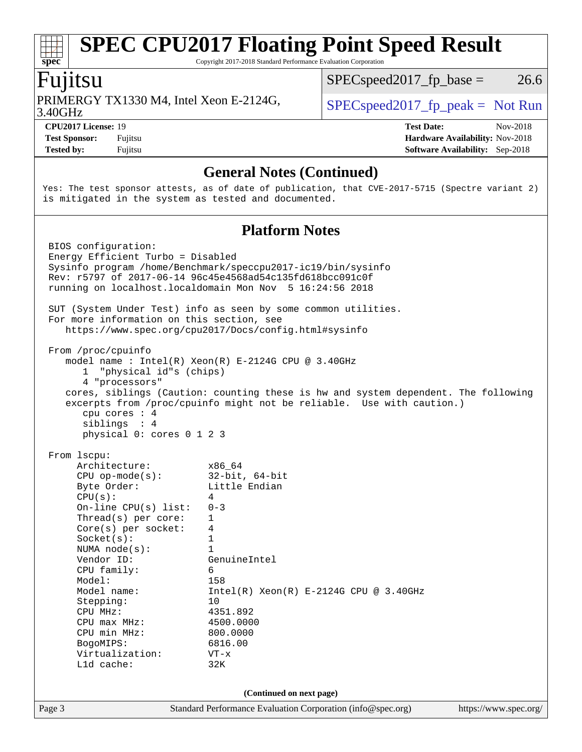Copyright 2017-2018 Standard Performance Evaluation Corporation

# Fujitsu

**[spec](http://www.spec.org/)**

3.40GHz PRIMERGY TX1330 M4, Intel Xeon E-2124G,  $SPEC speed2017_fp\_peak = Not Run$ 

 $SPECspeed2017_fp\_base = 26.6$ 

**[Test Sponsor:](http://www.spec.org/auto/cpu2017/Docs/result-fields.html#TestSponsor)** Fujitsu **[Hardware Availability:](http://www.spec.org/auto/cpu2017/Docs/result-fields.html#HardwareAvailability)** Nov-2018 **[Tested by:](http://www.spec.org/auto/cpu2017/Docs/result-fields.html#Testedby)** Fujitsu **[Software Availability:](http://www.spec.org/auto/cpu2017/Docs/result-fields.html#SoftwareAvailability)** Sep-2018

**[CPU2017 License:](http://www.spec.org/auto/cpu2017/Docs/result-fields.html#CPU2017License)** 19 **[Test Date:](http://www.spec.org/auto/cpu2017/Docs/result-fields.html#TestDate)** Nov-2018

### **[General Notes \(Continued\)](http://www.spec.org/auto/cpu2017/Docs/result-fields.html#GeneralNotes)**

Yes: The test sponsor attests, as of date of publication, that CVE-2017-5715 (Spectre variant 2) is mitigated in the system as tested and documented.

#### **[Platform Notes](http://www.spec.org/auto/cpu2017/Docs/result-fields.html#PlatformNotes)**

| Page 3 |                                                                                                                                     | Standard Performance Evaluation Corporation (info@spec.org)                                                                                                                                                        | https://www.spec.org/ |
|--------|-------------------------------------------------------------------------------------------------------------------------------------|--------------------------------------------------------------------------------------------------------------------------------------------------------------------------------------------------------------------|-----------------------|
|        |                                                                                                                                     | (Continued on next page)                                                                                                                                                                                           |                       |
|        | Model:<br>Model name:<br>Stepping:<br>CPU MHz:<br>$CPU$ max $MHz$ :<br>CPU min MHz:<br>BogoMIPS:<br>Virtualization:<br>$L1d$ cache: | 158<br>$Intel(R) Xeon(R) E-2124G CPU @ 3.40GHz$<br>10<br>4351.892<br>4500.0000<br>800.0000<br>6816.00<br>$VT - x$<br>32K                                                                                           |                       |
|        | Thread(s) per core:<br>$Core(s)$ per socket:<br>Socket(s):<br>NUMA $node(s):$<br>Vendor ID:<br>CPU family:                          | $\mathbf{1}$<br>4<br>$\mathbf{1}$<br>$\mathbf{1}$<br>GenuineIntel<br>6                                                                                                                                             |                       |
|        | Architecture:<br>$CPU$ op-mode( $s$ ):<br>Byte Order:<br>CPU(s):<br>On-line CPU $(s)$ list:                                         | x86_64<br>$32$ -bit, $64$ -bit<br>Little Endian<br>4<br>$0 - 3$                                                                                                                                                    |                       |
|        | From 1scpu:                                                                                                                         |                                                                                                                                                                                                                    |                       |
|        | From /proc/cpuinfo<br>"physical id"s (chips)<br>1<br>4 "processors"<br>cpu cores : 4<br>siblings : 4<br>physical 0: cores 0 1 2 3   | model name : Intel(R) Xeon(R) E-2124G CPU @ 3.40GHz<br>cores, siblings (Caution: counting these is hw and system dependent. The following<br>excerpts from /proc/cpuinfo might not be reliable. Use with caution.) |                       |
|        | For more information on this section, see                                                                                           | SUT (System Under Test) info as seen by some common utilities.<br>https://www.spec.org/cpu2017/Docs/config.html#sysinfo                                                                                            |                       |
|        | BIOS configuration:<br>Energy Efficient Turbo = Disabled                                                                            | Sysinfo program /home/Benchmark/speccpu2017-ic19/bin/sysinfo<br>Rev: r5797 of 2017-06-14 96c45e4568ad54c135fd618bcc091c0f<br>running on localhost.localdomain Mon Nov 5 16:24:56 2018                              |                       |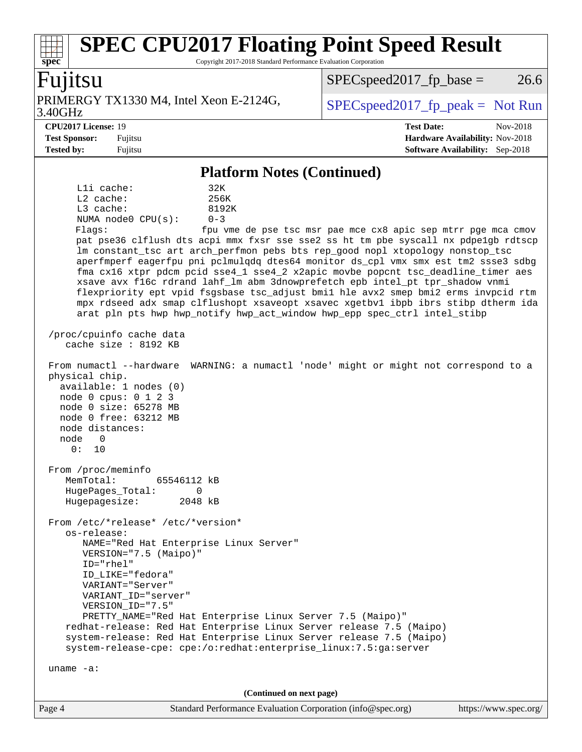Copyright 2017-2018 Standard Performance Evaluation Corporation

### Fujitsu

**[spec](http://www.spec.org/)**

3.40GHz PRIMERGY TX1330 M4, Intel Xeon E-2124G,  $\big|$  [SPECspeed2017\\_fp\\_peak =](http://www.spec.org/auto/cpu2017/Docs/result-fields.html#SPECspeed2017fppeak) Not Run

 $SPEC speed2017<sub>fp</sub> base = 26.6$ 

**[CPU2017 License:](http://www.spec.org/auto/cpu2017/Docs/result-fields.html#CPU2017License)** 19 **[Test Date:](http://www.spec.org/auto/cpu2017/Docs/result-fields.html#TestDate)** Nov-2018 **[Test Sponsor:](http://www.spec.org/auto/cpu2017/Docs/result-fields.html#TestSponsor)** Fujitsu **[Hardware Availability:](http://www.spec.org/auto/cpu2017/Docs/result-fields.html#HardwareAvailability)** Nov-2018 **[Tested by:](http://www.spec.org/auto/cpu2017/Docs/result-fields.html#Testedby)** Fujitsu **[Software Availability:](http://www.spec.org/auto/cpu2017/Docs/result-fields.html#SoftwareAvailability)** Sep-2018

#### **[Platform Notes \(Continued\)](http://www.spec.org/auto/cpu2017/Docs/result-fields.html#PlatformNotes)**

L1i cache: 32K L2 cache: 256K L3 cache: 8192K NUMA node0 CPU(s): 0-3 Flags: fpu vme de pse tsc msr pae mce cx8 apic sep mtrr pge mca cmov pat pse36 clflush dts acpi mmx fxsr sse sse2 ss ht tm pbe syscall nx pdpe1gb rdtscp lm constant\_tsc art arch\_perfmon pebs bts rep\_good nopl xtopology nonstop\_tsc aperfmperf eagerfpu pni pclmulqdq dtes64 monitor ds\_cpl vmx smx est tm2 ssse3 sdbg fma cx16 xtpr pdcm pcid sse4\_1 sse4\_2 x2apic movbe popcnt tsc\_deadline\_timer aes xsave avx f16c rdrand lahf\_lm abm 3dnowprefetch epb intel\_pt tpr\_shadow vnmi flexpriority ept vpid fsgsbase tsc\_adjust bmi1 hle avx2 smep bmi2 erms invpcid rtm mpx rdseed adx smap clflushopt xsaveopt xsavec xgetbv1 ibpb ibrs stibp dtherm ida arat pln pts hwp hwp\_notify hwp\_act\_window hwp\_epp spec\_ctrl intel\_stibp /proc/cpuinfo cache data cache size : 8192 KB From numactl --hardware WARNING: a numactl 'node' might or might not correspond to a physical chip. available: 1 nodes (0) node 0 cpus: 0 1 2 3 node 0 size: 65278 MB node 0 free: 63212 MB node distances: node 0 0: 10 From /proc/meminfo MemTotal: 65546112 kB HugePages\_Total: 0 Hugepagesize: 2048 kB From /etc/\*release\* /etc/\*version\* os-release: NAME="Red Hat Enterprise Linux Server" VERSION="7.5 (Maipo)" ID="rhel" ID\_LIKE="fedora" VARIANT="Server" VARIANT\_ID="server" VERSION\_ID="7.5" PRETTY\_NAME="Red Hat Enterprise Linux Server 7.5 (Maipo)" redhat-release: Red Hat Enterprise Linux Server release 7.5 (Maipo) system-release: Red Hat Enterprise Linux Server release 7.5 (Maipo) system-release-cpe: cpe:/o:redhat:enterprise\_linux:7.5:ga:server uname -a: **(Continued on next page)**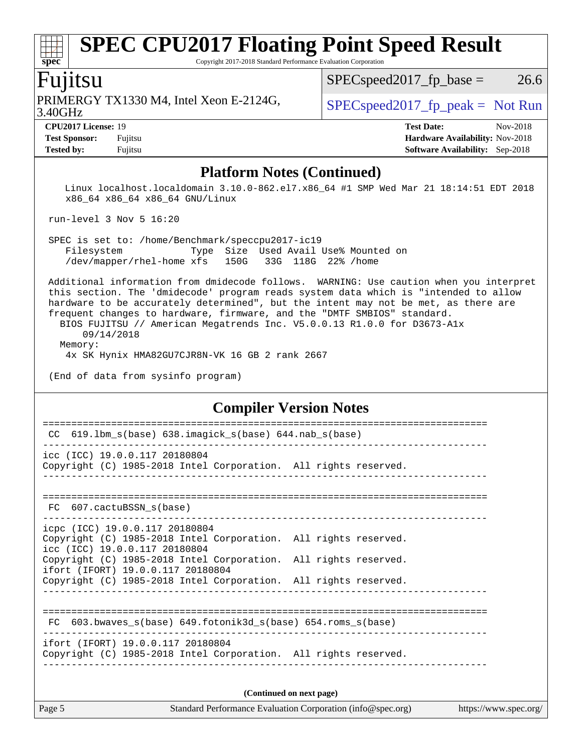Copyright 2017-2018 Standard Performance Evaluation Corporation

### Fujitsu

3.40GHz PRIMERGY TX1330 M4, Intel Xeon E-2124G,  $\big|$  [SPECspeed2017\\_fp\\_peak =](http://www.spec.org/auto/cpu2017/Docs/result-fields.html#SPECspeed2017fppeak) Not Run

 $SPEC speed2017<sub>fp</sub> base = 26.6$ 

**[spec](http://www.spec.org/)**

**[CPU2017 License:](http://www.spec.org/auto/cpu2017/Docs/result-fields.html#CPU2017License)** 19 **[Test Date:](http://www.spec.org/auto/cpu2017/Docs/result-fields.html#TestDate)** Nov-2018 **[Test Sponsor:](http://www.spec.org/auto/cpu2017/Docs/result-fields.html#TestSponsor)** Fujitsu **[Hardware Availability:](http://www.spec.org/auto/cpu2017/Docs/result-fields.html#HardwareAvailability)** Nov-2018 **[Tested by:](http://www.spec.org/auto/cpu2017/Docs/result-fields.html#Testedby)** Fujitsu **[Software Availability:](http://www.spec.org/auto/cpu2017/Docs/result-fields.html#SoftwareAvailability)** Sep-2018

#### **[Platform Notes \(Continued\)](http://www.spec.org/auto/cpu2017/Docs/result-fields.html#PlatformNotes)**

 Linux localhost.localdomain 3.10.0-862.el7.x86\_64 #1 SMP Wed Mar 21 18:14:51 EDT 2018 x86\_64 x86\_64 x86\_64 GNU/Linux

run-level 3 Nov 5 16:20

 SPEC is set to: /home/Benchmark/speccpu2017-ic19 Filesystem Type Size Used Avail Use% Mounted on /dev/mapper/rhel-home xfs 150G 33G 118G 22% /home

 Additional information from dmidecode follows. WARNING: Use caution when you interpret this section. The 'dmidecode' program reads system data which is "intended to allow hardware to be accurately determined", but the intent may not be met, as there are frequent changes to hardware, firmware, and the "DMTF SMBIOS" standard.

 BIOS FUJITSU // American Megatrends Inc. V5.0.0.13 R1.0.0 for D3673-A1x 09/14/2018 Memory:

4x SK Hynix HMA82GU7CJR8N-VK 16 GB 2 rank 2667

(End of data from sysinfo program)

#### **[Compiler Version Notes](http://www.spec.org/auto/cpu2017/Docs/result-fields.html#CompilerVersionNotes)**

| 619.1bm_s(base) 638.imagick_s(base) 644.nab_s(base)<br>CC<br>icc (ICC) 19.0.0.117 20180804<br>Copyright (C) 1985-2018 Intel Corporation. All rights reserved.<br>FC 607.cactuBSSN s(base)<br>icpc (ICC) 19.0.0.117 20180804<br>Copyright (C) 1985-2018 Intel Corporation. All rights reserved.<br>icc (ICC) 19.0.0.117 20180804 |
|---------------------------------------------------------------------------------------------------------------------------------------------------------------------------------------------------------------------------------------------------------------------------------------------------------------------------------|
|                                                                                                                                                                                                                                                                                                                                 |
|                                                                                                                                                                                                                                                                                                                                 |
|                                                                                                                                                                                                                                                                                                                                 |
|                                                                                                                                                                                                                                                                                                                                 |
| Copyright (C) 1985-2018 Intel Corporation. All rights reserved.<br>ifort (IFORT) 19.0.0.117 20180804                                                                                                                                                                                                                            |
| Copyright (C) 1985-2018 Intel Corporation. All rights reserved.                                                                                                                                                                                                                                                                 |
| 603.bwaves $s(base)$ 649.fotonik3d $s(base)$ 654.roms $s(base)$<br>FC                                                                                                                                                                                                                                                           |
| ifort (IFORT) 19.0.0.117 20180804<br>Copyright (C) 1985-2018 Intel Corporation. All rights reserved.                                                                                                                                                                                                                            |
| (Continued on next page)                                                                                                                                                                                                                                                                                                        |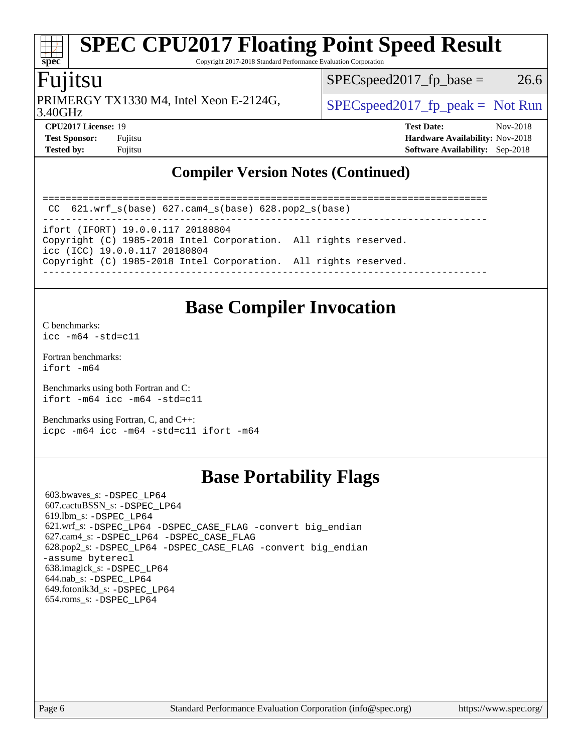Copyright 2017-2018 Standard Performance Evaluation Corporation

## Fujitsu

**[spec](http://www.spec.org/)**

3.40GHz PRIMERGY TX1330 M4, Intel Xeon E-2124G,  $\big|$  [SPECspeed2017\\_fp\\_peak =](http://www.spec.org/auto/cpu2017/Docs/result-fields.html#SPECspeed2017fppeak) Not Run

 $SPEC speed2017_fp\_base = 26.6$ 

**[CPU2017 License:](http://www.spec.org/auto/cpu2017/Docs/result-fields.html#CPU2017License)** 19 **[Test Date:](http://www.spec.org/auto/cpu2017/Docs/result-fields.html#TestDate)** Nov-2018 **[Test Sponsor:](http://www.spec.org/auto/cpu2017/Docs/result-fields.html#TestSponsor)** Fujitsu **[Hardware Availability:](http://www.spec.org/auto/cpu2017/Docs/result-fields.html#HardwareAvailability)** Nov-2018 **[Tested by:](http://www.spec.org/auto/cpu2017/Docs/result-fields.html#Testedby)** Fujitsu **[Software Availability:](http://www.spec.org/auto/cpu2017/Docs/result-fields.html#SoftwareAvailability)** Sep-2018

### **[Compiler Version Notes \(Continued\)](http://www.spec.org/auto/cpu2017/Docs/result-fields.html#CompilerVersionNotes)**

==============================================================================

 CC 621.wrf\_s(base) 627.cam4\_s(base) 628.pop2\_s(base) ------------------------------------------------------------------------------

ifort (IFORT) 19.0.0.117 20180804

Copyright (C) 1985-2018 Intel Corporation. All rights reserved. icc (ICC) 19.0.0.117 20180804

Copyright (C) 1985-2018 Intel Corporation. All rights reserved.

------------------------------------------------------------------------------

## **[Base Compiler Invocation](http://www.spec.org/auto/cpu2017/Docs/result-fields.html#BaseCompilerInvocation)**

[C benchmarks](http://www.spec.org/auto/cpu2017/Docs/result-fields.html#Cbenchmarks):  $icc - m64 - std = c11$ 

[Fortran benchmarks](http://www.spec.org/auto/cpu2017/Docs/result-fields.html#Fortranbenchmarks): [ifort -m64](http://www.spec.org/cpu2017/results/res2018q4/cpu2017-20181113-09793.flags.html#user_FCbase_intel_ifort_64bit_24f2bb282fbaeffd6157abe4f878425411749daecae9a33200eee2bee2fe76f3b89351d69a8130dd5949958ce389cf37ff59a95e7a40d588e8d3a57e0c3fd751)

[Benchmarks using both Fortran and C](http://www.spec.org/auto/cpu2017/Docs/result-fields.html#BenchmarksusingbothFortranandC): [ifort -m64](http://www.spec.org/cpu2017/results/res2018q4/cpu2017-20181113-09793.flags.html#user_CC_FCbase_intel_ifort_64bit_24f2bb282fbaeffd6157abe4f878425411749daecae9a33200eee2bee2fe76f3b89351d69a8130dd5949958ce389cf37ff59a95e7a40d588e8d3a57e0c3fd751) [icc -m64 -std=c11](http://www.spec.org/cpu2017/results/res2018q4/cpu2017-20181113-09793.flags.html#user_CC_FCbase_intel_icc_64bit_c11_33ee0cdaae7deeeab2a9725423ba97205ce30f63b9926c2519791662299b76a0318f32ddfffdc46587804de3178b4f9328c46fa7c2b0cd779d7a61945c91cd35)

[Benchmarks using Fortran, C, and C++:](http://www.spec.org/auto/cpu2017/Docs/result-fields.html#BenchmarksusingFortranCandCXX) [icpc -m64](http://www.spec.org/cpu2017/results/res2018q4/cpu2017-20181113-09793.flags.html#user_CC_CXX_FCbase_intel_icpc_64bit_4ecb2543ae3f1412ef961e0650ca070fec7b7afdcd6ed48761b84423119d1bf6bdf5cad15b44d48e7256388bc77273b966e5eb805aefd121eb22e9299b2ec9d9) [icc -m64 -std=c11](http://www.spec.org/cpu2017/results/res2018q4/cpu2017-20181113-09793.flags.html#user_CC_CXX_FCbase_intel_icc_64bit_c11_33ee0cdaae7deeeab2a9725423ba97205ce30f63b9926c2519791662299b76a0318f32ddfffdc46587804de3178b4f9328c46fa7c2b0cd779d7a61945c91cd35) [ifort -m64](http://www.spec.org/cpu2017/results/res2018q4/cpu2017-20181113-09793.flags.html#user_CC_CXX_FCbase_intel_ifort_64bit_24f2bb282fbaeffd6157abe4f878425411749daecae9a33200eee2bee2fe76f3b89351d69a8130dd5949958ce389cf37ff59a95e7a40d588e8d3a57e0c3fd751)

# **[Base Portability Flags](http://www.spec.org/auto/cpu2017/Docs/result-fields.html#BasePortabilityFlags)**

 603.bwaves\_s: [-DSPEC\\_LP64](http://www.spec.org/cpu2017/results/res2018q4/cpu2017-20181113-09793.flags.html#suite_basePORTABILITY603_bwaves_s_DSPEC_LP64) 607.cactuBSSN\_s: [-DSPEC\\_LP64](http://www.spec.org/cpu2017/results/res2018q4/cpu2017-20181113-09793.flags.html#suite_basePORTABILITY607_cactuBSSN_s_DSPEC_LP64) 619.lbm\_s: [-DSPEC\\_LP64](http://www.spec.org/cpu2017/results/res2018q4/cpu2017-20181113-09793.flags.html#suite_basePORTABILITY619_lbm_s_DSPEC_LP64) 621.wrf\_s: [-DSPEC\\_LP64](http://www.spec.org/cpu2017/results/res2018q4/cpu2017-20181113-09793.flags.html#suite_basePORTABILITY621_wrf_s_DSPEC_LP64) [-DSPEC\\_CASE\\_FLAG](http://www.spec.org/cpu2017/results/res2018q4/cpu2017-20181113-09793.flags.html#b621.wrf_s_baseCPORTABILITY_DSPEC_CASE_FLAG) [-convert big\\_endian](http://www.spec.org/cpu2017/results/res2018q4/cpu2017-20181113-09793.flags.html#user_baseFPORTABILITY621_wrf_s_convert_big_endian_c3194028bc08c63ac5d04de18c48ce6d347e4e562e8892b8bdbdc0214820426deb8554edfa529a3fb25a586e65a3d812c835984020483e7e73212c4d31a38223) 627.cam4\_s: [-DSPEC\\_LP64](http://www.spec.org/cpu2017/results/res2018q4/cpu2017-20181113-09793.flags.html#suite_basePORTABILITY627_cam4_s_DSPEC_LP64) [-DSPEC\\_CASE\\_FLAG](http://www.spec.org/cpu2017/results/res2018q4/cpu2017-20181113-09793.flags.html#b627.cam4_s_baseCPORTABILITY_DSPEC_CASE_FLAG) 628.pop2\_s: [-DSPEC\\_LP64](http://www.spec.org/cpu2017/results/res2018q4/cpu2017-20181113-09793.flags.html#suite_basePORTABILITY628_pop2_s_DSPEC_LP64) [-DSPEC\\_CASE\\_FLAG](http://www.spec.org/cpu2017/results/res2018q4/cpu2017-20181113-09793.flags.html#b628.pop2_s_baseCPORTABILITY_DSPEC_CASE_FLAG) [-convert big\\_endian](http://www.spec.org/cpu2017/results/res2018q4/cpu2017-20181113-09793.flags.html#user_baseFPORTABILITY628_pop2_s_convert_big_endian_c3194028bc08c63ac5d04de18c48ce6d347e4e562e8892b8bdbdc0214820426deb8554edfa529a3fb25a586e65a3d812c835984020483e7e73212c4d31a38223) [-assume byterecl](http://www.spec.org/cpu2017/results/res2018q4/cpu2017-20181113-09793.flags.html#user_baseFPORTABILITY628_pop2_s_assume_byterecl_7e47d18b9513cf18525430bbf0f2177aa9bf368bc7a059c09b2c06a34b53bd3447c950d3f8d6c70e3faf3a05c8557d66a5798b567902e8849adc142926523472) 638.imagick\_s: [-DSPEC\\_LP64](http://www.spec.org/cpu2017/results/res2018q4/cpu2017-20181113-09793.flags.html#suite_basePORTABILITY638_imagick_s_DSPEC_LP64) 644.nab\_s: [-DSPEC\\_LP64](http://www.spec.org/cpu2017/results/res2018q4/cpu2017-20181113-09793.flags.html#suite_basePORTABILITY644_nab_s_DSPEC_LP64) 649.fotonik3d\_s: [-DSPEC\\_LP64](http://www.spec.org/cpu2017/results/res2018q4/cpu2017-20181113-09793.flags.html#suite_basePORTABILITY649_fotonik3d_s_DSPEC_LP64) 654.roms\_s: [-DSPEC\\_LP64](http://www.spec.org/cpu2017/results/res2018q4/cpu2017-20181113-09793.flags.html#suite_basePORTABILITY654_roms_s_DSPEC_LP64)